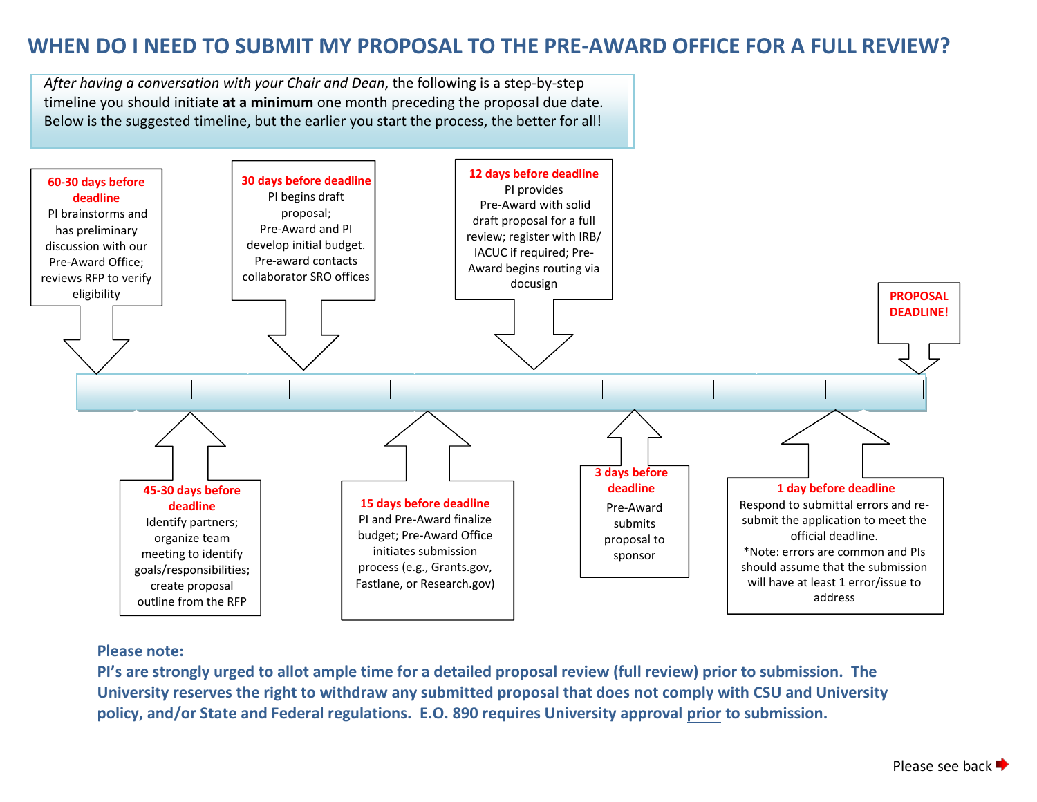# **WHEN DO I NEED TO SUBMIT MY PROPOSAL TO THE PRE-AWARD OFFICE FOR A FULL REVIEW?**

*After having a conversation with your Chair and Dean*, the following is a step-by-step timeline you should initiate **at a minimum** one month preceding the proposal due date. Below is the suggested timeline, but the earlier you start the process, the better for all!



#### **Please note:**

**PI's are strongly urged to allot ample time for a detailed proposal review (full review) prior to submission. The University reserves the right to withdraw any submitted proposal that does not comply with CSU and University policy, and/or State and Federal regulations. E.O. 890 requires University approval prior to submission.**